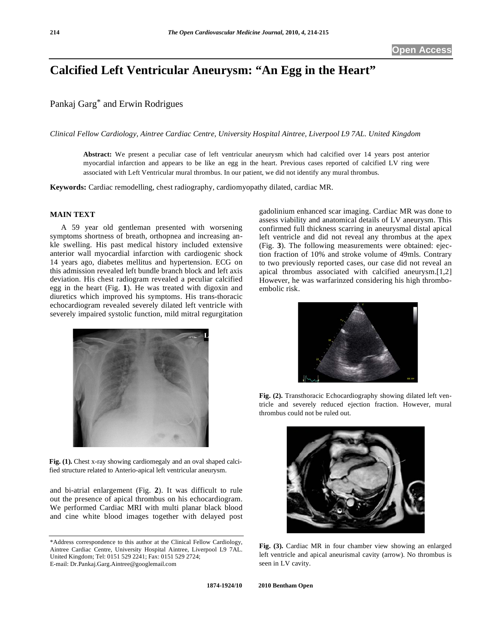## **Calcified Left Ventricular Aneurysm: "An Egg in the Heart"**

Pankaj Garg\* and Erwin Rodrigues

*Clinical Fellow Cardiology, Aintree Cardiac Centre, University Hospital Aintree, Liverpool L9 7AL. United Kingdom* 

**Abstract:** We present a peculiar case of left ventricular aneurysm which had calcified over 14 years post anterior myocardial infarction and appears to be like an egg in the heart. Previous cases reported of calcified LV ring were associated with Left Ventricular mural thrombus. In our patient, we did not identify any mural thrombus.

**Keywords:** Cardiac remodelling, chest radiography, cardiomyopathy dilated, cardiac MR.

## **MAIN TEXT**

 A 59 year old gentleman presented with worsening symptoms shortness of breath, orthopnea and increasing ankle swelling. His past medical history included extensive anterior wall myocardial infarction with cardiogenic shock 14 years ago, diabetes mellitus and hypertension. ECG on this admission revealed left bundle branch block and left axis deviation. His chest radiogram revealed a peculiar calcified egg in the heart (Fig. **1**). He was treated with digoxin and diuretics which improved his symptoms. His trans-thoracic echocardiogram revealed severely dilated left ventricle with severely impaired systolic function, mild mitral regurgitation



**Fig. (1).** Chest x-ray showing cardiomegaly and an oval shaped calcified structure related to Anterio-apical left ventricular aneurysm.

and bi-atrial enlargement (Fig. **2**). It was difficult to rule out the presence of apical thrombus on his echocardiogram. We performed Cardiac MRI with multi planar black blood and cine white blood images together with delayed post gadolinium enhanced scar imaging. Cardiac MR was done to assess viability and anatomical details of LV aneurysm. This confirmed full thickness scarring in aneurysmal distal apical left ventricle and did not reveal any thrombus at the apex (Fig. **3**). The following measurements were obtained: ejection fraction of 10% and stroke volume of 49mls. Contrary to two previously reported cases, our case did not reveal an apical thrombus associated with calcified aneurysm.[1,2] However, he was warfarinzed considering his high thromboembolic risk.



**Fig. (2).** Transthoracic Echocardiography showing dilated left ventricle and severely reduced ejection fraction. However, mural thrombus could not be ruled out.



**Fig. (3).** Cardiac MR in four chamber view showing an enlarged left ventricle and apical aneurismal cavity (arrow). No thrombus is seen in LV cavity.

<sup>\*</sup>Address correspondence to this author at the Clinical Fellow Cardiology, Aintree Cardiac Centre, University Hospital Aintree, Liverpool L9 7AL. United Kingdom; Tel: 0151 529 2241; Fax: 0151 529 2724; E-mail: Dr.Pankaj.Garg.Aintree@googlemail.com